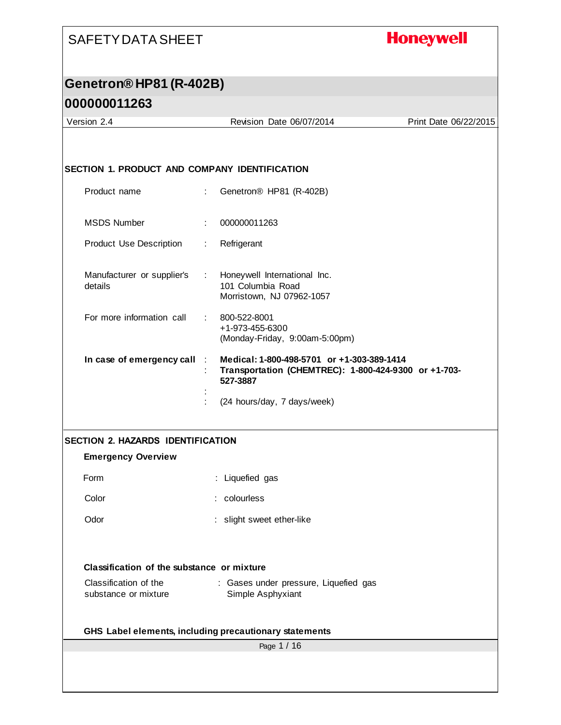# **Honeywell**

# **Genetron® HP81 (R-402B)**

## **000000011263**

| Version 2.4                                          |                             | Revision Date 06/07/2014                                                                                       | Print Date 06/22/2015 |
|------------------------------------------------------|-----------------------------|----------------------------------------------------------------------------------------------------------------|-----------------------|
|                                                      |                             |                                                                                                                |                       |
| <b>SECTION 1. PRODUCT AND COMPANY IDENTIFICATION</b> |                             |                                                                                                                |                       |
| Product name                                         | ÷                           | Genetron <sup>®</sup> HP81 (R-402B)                                                                            |                       |
| <b>MSDS Number</b>                                   |                             | 000000011263                                                                                                   |                       |
| Product Use Description                              | ÷.                          | Refrigerant                                                                                                    |                       |
| Manufacturer or supplier's<br>details                | $\mathcal{L}^{\mathcal{L}}$ | Honeywell International Inc.<br>101 Columbia Road<br>Morristown, NJ 07962-1057                                 |                       |
| For more information call                            | t.                          | 800-522-8001<br>+1-973-455-6300<br>(Monday-Friday, 9:00am-5:00pm)                                              |                       |
| In case of emergency call                            | ÷.                          | Medical: 1-800-498-5701 or +1-303-389-1414<br>Transportation (CHEMTREC): 1-800-424-9300 or +1-703-<br>527-3887 |                       |
|                                                      |                             | (24 hours/day, 7 days/week)                                                                                    |                       |
| <b>SECTION 2. HAZARDS IDENTIFICATION</b>             |                             |                                                                                                                |                       |
| <b>Emergency Overview</b>                            |                             |                                                                                                                |                       |
| Form                                                 |                             | : Liquefied gas                                                                                                |                       |
| Color                                                |                             | : colourless                                                                                                   |                       |
| Odor                                                 |                             | : slight sweet ether-like                                                                                      |                       |
| Classification of the substance or mixture           |                             |                                                                                                                |                       |
| Classification of the<br>substance or mixture        |                             | : Gases under pressure, Liquefied gas<br>Simple Asphyxiant                                                     |                       |
|                                                      |                             | GHS Label elements, including precautionary statements                                                         |                       |
|                                                      |                             | Page 1 / 16                                                                                                    |                       |
|                                                      |                             |                                                                                                                |                       |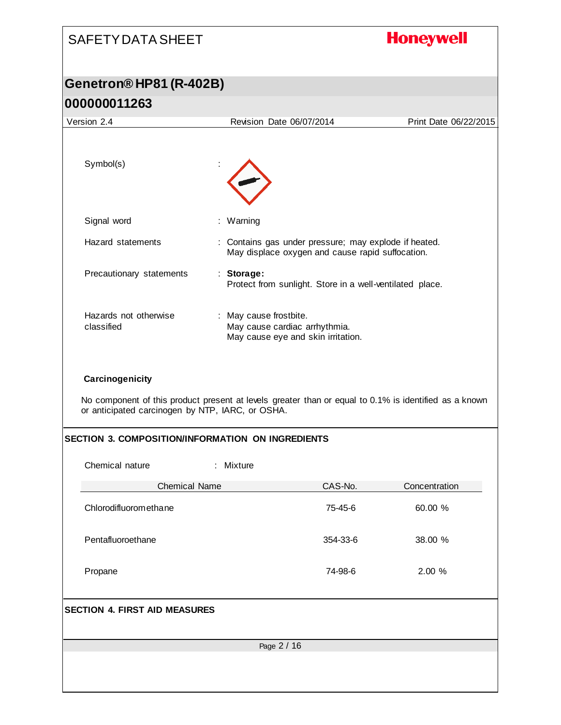| <b>SAFETY DATA SHEET</b>                                                                                                                                                     |                                                                                               |                                                                                                           | <b>Honeywell</b>      |
|------------------------------------------------------------------------------------------------------------------------------------------------------------------------------|-----------------------------------------------------------------------------------------------|-----------------------------------------------------------------------------------------------------------|-----------------------|
| Genetron® HP81 (R-402B)                                                                                                                                                      |                                                                                               |                                                                                                           |                       |
| 000000011263                                                                                                                                                                 |                                                                                               |                                                                                                           |                       |
| Version 2.4                                                                                                                                                                  | Revision Date 06/07/2014                                                                      |                                                                                                           | Print Date 06/22/2015 |
| Symbol(s)                                                                                                                                                                    |                                                                                               |                                                                                                           |                       |
| Signal word                                                                                                                                                                  | : Warning                                                                                     |                                                                                                           |                       |
| Hazard statements                                                                                                                                                            |                                                                                               | : Contains gas under pressure; may explode if heated.<br>May displace oxygen and cause rapid suffocation. |                       |
| Precautionary statements                                                                                                                                                     | : Storage:                                                                                    | Protect from sunlight. Store in a well-ventilated place.                                                  |                       |
| Hazards not otherwise<br>classified                                                                                                                                          | : May cause frostbite.<br>May cause cardiac arrhythmia.<br>May cause eye and skin irritation. |                                                                                                           |                       |
| Carcinogenicity<br>No component of this product present at levels greater than or equal to 0.1% is identified as a known<br>or anticipated carcinogen by NTP, IARC, or OSHA. |                                                                                               |                                                                                                           |                       |
| <b>SECTION 3. COMPOSITION/INFORMATION ON INGREDIENTS</b>                                                                                                                     |                                                                                               |                                                                                                           |                       |
| Chemical nature                                                                                                                                                              | : Mixture                                                                                     |                                                                                                           |                       |
| <b>Chemical Name</b>                                                                                                                                                         |                                                                                               | CAS-No.                                                                                                   | Concentration         |
| Chlorodifluoromethane                                                                                                                                                        |                                                                                               | 75-45-6                                                                                                   | 60.00 %               |
| Pentafluoroethane                                                                                                                                                            |                                                                                               | 354-33-6                                                                                                  | 38.00 %               |
| Propane                                                                                                                                                                      |                                                                                               | 74-98-6                                                                                                   | 2.00 %                |
| <b>SECTION 4. FIRST AID MEASURES</b>                                                                                                                                         |                                                                                               |                                                                                                           |                       |
|                                                                                                                                                                              | Page 2 / 16                                                                                   |                                                                                                           |                       |
|                                                                                                                                                                              |                                                                                               |                                                                                                           |                       |
|                                                                                                                                                                              |                                                                                               |                                                                                                           |                       |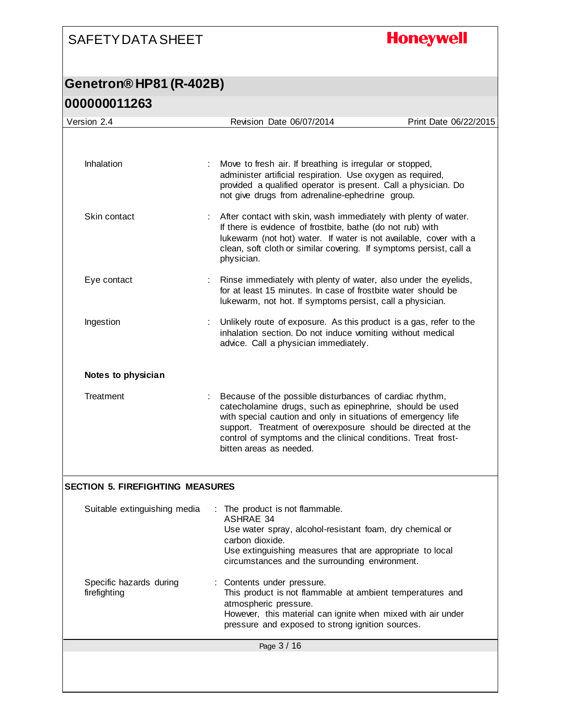**Honeywell** 

| Version 2.4                             | Revision Date 06/07/2014                                                                                                                                                                                                                                                                                                                         | Print Date 06/22/2015 |
|-----------------------------------------|--------------------------------------------------------------------------------------------------------------------------------------------------------------------------------------------------------------------------------------------------------------------------------------------------------------------------------------------------|-----------------------|
|                                         |                                                                                                                                                                                                                                                                                                                                                  |                       |
| Inhalation                              | Move to fresh air. If breathing is irregular or stopped,<br>administer artificial respiration. Use oxygen as required,<br>provided a qualified operator is present. Call a physician. Do<br>not give drugs from adrenaline-ephedrine group.                                                                                                      |                       |
| Skin contact                            | After contact with skin, wash immediately with plenty of water.<br>If there is evidence of frostbite, bathe (do not rub) with<br>lukewarm (not hot) water. If water is not available, cover with a<br>clean, soft cloth or similar covering. If symptoms persist, call a<br>physician.                                                           |                       |
| Eye contact                             | Rinse immediately with plenty of water, also under the eyelids,<br>for at least 15 minutes. In case of frostbite water should be<br>lukewarm, not hot. If symptoms persist, call a physician.                                                                                                                                                    |                       |
| Ingestion                               | Unlikely route of exposure. As this product is a gas, refer to the<br>inhalation section. Do not induce vomiting without medical<br>advice. Call a physician immediately.                                                                                                                                                                        |                       |
| Notes to physician                      |                                                                                                                                                                                                                                                                                                                                                  |                       |
| Treatment                               | Because of the possible disturbances of cardiac rhythm,<br>catecholamine drugs, such as epinephrine, should be used<br>with special caution and only in situations of emergency life<br>support. Treatment of overexposure should be directed at the<br>control of symptoms and the clinical conditions. Treat frost-<br>bitten areas as needed. |                       |
| <b>SECTION 5. FIREFIGHTING MEASURES</b> |                                                                                                                                                                                                                                                                                                                                                  |                       |
| Suitable extinguishing media            | The product is not flammable.<br>ASHRAE 34<br>Use water spray, alcohol-resistant foam, dry chemical or<br>carbon dioxide.<br>Use extinguishing measures that are appropriate to local<br>circumstances and the surrounding environment.                                                                                                          |                       |
| Specific hazards during<br>firefighting | Contents under pressure.<br>This product is not flammable at ambient temperatures and<br>atmospheric pressure.<br>However, this material can ignite when mixed with air under<br>pressure and exposed to strong ignition sources.                                                                                                                |                       |
|                                         | Page 3 / 16                                                                                                                                                                                                                                                                                                                                      |                       |
|                                         |                                                                                                                                                                                                                                                                                                                                                  |                       |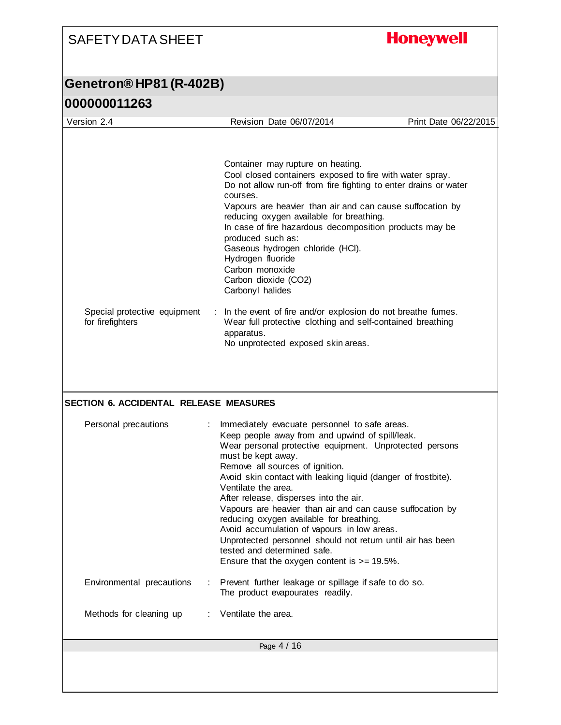# **Honeywell**

## **Genetron® HP81 (R-402B)**

### **000000011263**

| Version 2.4                                      | Revision Date 06/07/2014                                                                                                                                                                                                                                                                                                                                                                                                                                                                                                                                                                                                                                                          | Print Date 06/22/2015 |
|--------------------------------------------------|-----------------------------------------------------------------------------------------------------------------------------------------------------------------------------------------------------------------------------------------------------------------------------------------------------------------------------------------------------------------------------------------------------------------------------------------------------------------------------------------------------------------------------------------------------------------------------------------------------------------------------------------------------------------------------------|-----------------------|
| Special protective equipment<br>for firefighters | Container may rupture on heating.<br>Cool closed containers exposed to fire with water spray.<br>Do not allow run-off from fire fighting to enter drains or water<br>courses.<br>Vapours are heavier than air and can cause suffocation by<br>reducing oxygen available for breathing.<br>In case of fire hazardous decomposition products may be<br>produced such as:<br>Gaseous hydrogen chloride (HCl).<br>Hydrogen fluoride<br>Carbon monoxide<br>Carbon dioxide (CO2)<br>Carbonyl halides<br>: In the event of fire and/or explosion do not breathe fumes.<br>Wear full protective clothing and self-contained breathing<br>apparatus.<br>No unprotected exposed skin areas. |                       |
| <b>SECTION 6. ACCIDENTAL RELEASE MEASURES</b>    |                                                                                                                                                                                                                                                                                                                                                                                                                                                                                                                                                                                                                                                                                   |                       |
| Personal precautions                             | Immediately evacuate personnel to safe areas.<br>Keep people away from and upwind of spill/leak.<br>Wear personal protective equipment. Unprotected persons<br>must be kept away.<br>Remove all sources of ignition.<br>Avoid skin contact with leaking liquid (danger of frostbite).<br>Ventilate the area.<br>After release, disperses into the air.<br>Vapours are heavier than air and can cause suffocation by<br>reducing oxygen available for breathing.<br>Avoid accumulation of vapours in low areas.<br>Unprotected personnel should not return until air has been<br>tested and determined safe.<br>Ensure that the oxygen content is $>= 19.5\%$ .                    |                       |
| Environmental precautions                        | Prevent further leakage or spillage if safe to do so.<br>The product evapourates readily.                                                                                                                                                                                                                                                                                                                                                                                                                                                                                                                                                                                         |                       |
| Methods for cleaning up                          | Ventilate the area.                                                                                                                                                                                                                                                                                                                                                                                                                                                                                                                                                                                                                                                               |                       |
|                                                  | Page 4 / 16                                                                                                                                                                                                                                                                                                                                                                                                                                                                                                                                                                                                                                                                       |                       |
|                                                  |                                                                                                                                                                                                                                                                                                                                                                                                                                                                                                                                                                                                                                                                                   |                       |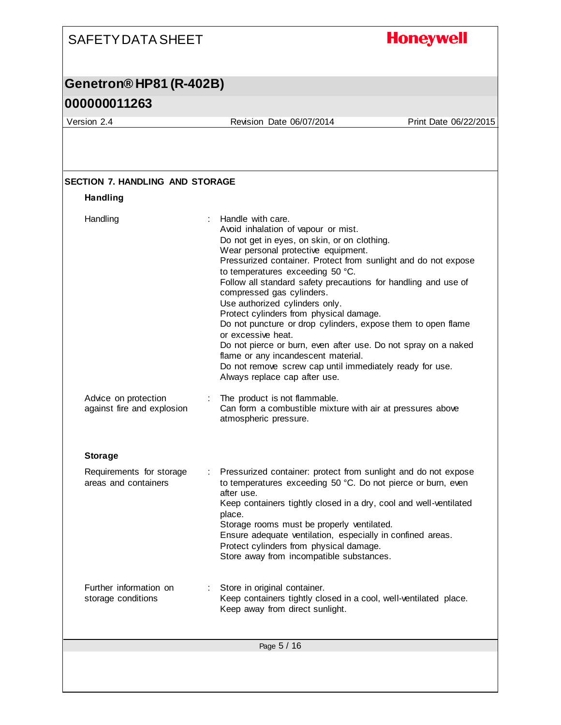#### **Honeywell** SAFETY DATA SHEET **Genetron® HP81 (R-402B) 000000011263** Version 2.4 Revision Date 06/07/2014 Print Date 06/22/2015 **SECTION 7. HANDLING AND STORAGE Handling** Handling : Handle with care. Avoid inhalation of vapour or mist. Do not get in eyes, on skin, or on clothing. Wear personal protective equipment. Pressurized container. Protect from sunlight and do not expose to temperatures exceeding 50 °C. Follow all standard safety precautions for handling and use of compressed gas cylinders. Use authorized cylinders only. Protect cylinders from physical damage. Do not puncture or drop cylinders, expose them to open flame or excessive heat. Do not pierce or burn, even after use. Do not spray on a naked flame or any incandescent material. Do not remove screw cap until immediately ready for use. Always replace cap after use. Advice on protection : The product is not flammable. against fire and explosion Can form a combustible mixture with air at pressures above atmospheric pressure. **Storage** Requirements for storage : Pressurized container: protect from sunlight and do not expose areas and containers to temperatures exceeding 50 °C. Do not pierce or burn, even after use. Keep containers tightly closed in a dry, cool and well-ventilated place. Storage rooms must be properly ventilated. Ensure adequate ventilation, especially in confined areas. Protect cylinders from physical damage. Store away from incompatible substances. Further information on : Store in original container. Keep containers tightly closed in a cool, well-ventilated place. storage conditions Keep away from direct sunlight.Page 5 / 16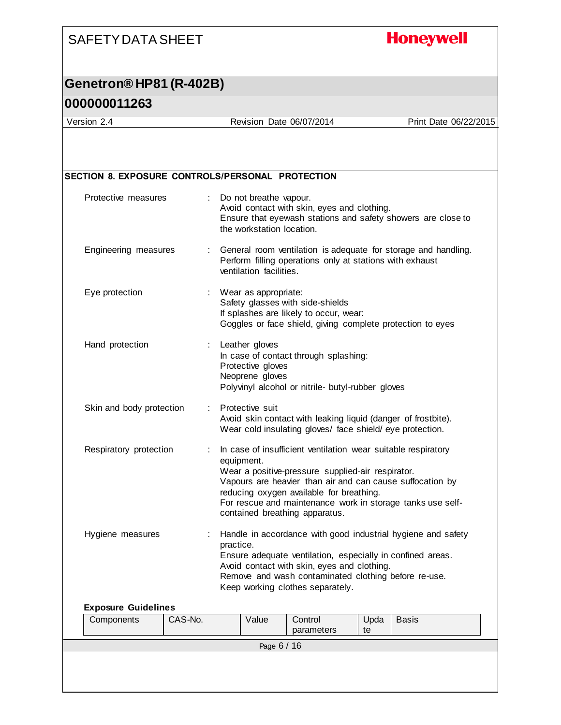## **Honeywell**

### **Genetron® HP81 (R-402B)**

#### **000000011263**

Version 2.4 Revision Date 06/07/2014 Print Date 06/22/2015

| Protective measures        |         |           | Do not breathe vapour.<br>the workstation location.    | Avoid contact with skin, eyes and clothing.                                                                                                                                                                                                                   |            | Ensure that eyewash stations and safety showers are close to   |
|----------------------------|---------|-----------|--------------------------------------------------------|---------------------------------------------------------------------------------------------------------------------------------------------------------------------------------------------------------------------------------------------------------------|------------|----------------------------------------------------------------|
| Engineering measures       |         |           | ventilation facilities.                                | Perform filling operations only at stations with exhaust                                                                                                                                                                                                      |            | General room ventilation is adequate for storage and handling. |
| Eye protection             |         |           | Wear as appropriate:                                   | Safety glasses with side-shields<br>If splashes are likely to occur, wear:<br>Goggles or face shield, giving complete protection to eyes                                                                                                                      |            |                                                                |
| Hand protection            | ÷.      |           | Leather gloves<br>Protective gloves<br>Neoprene gloves | In case of contact through splashing:<br>Polyvinyl alcohol or nitrile- butyl-rubber gloves                                                                                                                                                                    |            |                                                                |
| Skin and body protection   |         |           | Protective suit                                        | Avoid skin contact with leaking liquid (danger of frostbite).<br>Wear cold insulating gloves/ face shield/eye protection.                                                                                                                                     |            |                                                                |
| Respiratory protection     |         |           | equipment.                                             | In case of insufficient ventilation wear suitable respiratory<br>Wear a positive-pressure supplied-air respirator.<br>Vapours are heavier than air and can cause suffocation by<br>reducing oxygen available for breathing.<br>contained breathing apparatus. |            | For rescue and maintenance work in storage tanks use self-     |
| Hygiene measures           |         | practice. |                                                        | Ensure adequate ventilation, especially in confined areas.<br>Avoid contact with skin, eyes and clothing.<br>Remove and wash contaminated clothing before re-use.<br>Keep working clothes separately.                                                         |            | Handle in accordance with good industrial hygiene and safety   |
| <b>Exposure Guidelines</b> |         |           |                                                        |                                                                                                                                                                                                                                                               |            |                                                                |
| Components                 | CAS-No. |           | Value                                                  | Control<br>parameters                                                                                                                                                                                                                                         | Upda<br>te | Basis                                                          |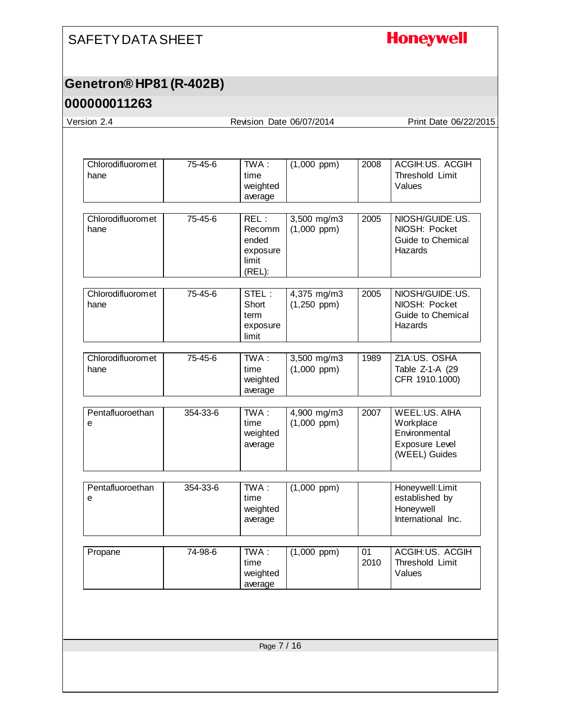# **Honeywell**

#### **Genetron® HP81 (R-402B)**

#### **000000011263**

Version 2.4 Revision Date 06/07/2014 Print Date 06/22/2015

| Chlorodifluoromet<br>hane | 75-45-6  | TWA:<br>time<br>weighted<br>average                           | $(1,000$ ppm $)$                | 2008       | ACGIH:US. ACGIH<br>Threshold Limit<br>Values                                   |
|---------------------------|----------|---------------------------------------------------------------|---------------------------------|------------|--------------------------------------------------------------------------------|
| Chlorodifluoromet<br>hane | 75-45-6  | REL:<br><b>Recomm</b><br>ended<br>exposure<br>limit<br>(REL): | 3,500 mg/m3<br>$(1,000$ ppm $)$ | 2005       | NIOSH/GUIDE:US.<br>NIOSH: Pocket<br>Guide to Chemical<br>Hazards               |
| Chlorodifluoromet<br>hane | 75-45-6  | STEL:<br>Short<br>term<br>exposure<br>limit                   | 4,375 mg/m3<br>$(1,250$ ppm)    | 2005       | NIOSH/GUIDE:US.<br>NIOSH: Pocket<br>Guide to Chemical<br>Hazards               |
| Chlorodifluoromet<br>hane | 75-45-6  | $TWA$ :<br>time<br>weighted<br>average                        | 3,500 mg/m3<br>$(1,000$ ppm $)$ | 1989       | Z1A:US. OSHA<br>Table Z-1-A (29<br>CFR 1910.1000)                              |
| Pentafluoroethan<br>е     | 354-33-6 | TWA:<br>time<br>weighted<br>average                           | 4,900 mg/m3<br>$(1,000$ ppm $)$ | 2007       | WEEL:US. AIHA<br>Workplace<br>Environmental<br>Exposure Level<br>(WEEL) Guides |
| Pentafluoroethan<br>е     | 354-33-6 | $\overline{\text{TWA}}$ :<br>time<br>weighted<br>average      | $(1,000$ ppm $)$                |            | Honeywell: Limit<br>established by<br>Honeywell<br>International Inc.          |
| Propane                   | 74-98-6  | $TWA$ :<br>time<br>weighted<br>average                        | $(1,000$ ppm $)$                | 01<br>2010 | ACGIH:US. ACGIH<br>Threshold Limit<br>Values                                   |
|                           |          |                                                               |                                 |            |                                                                                |
|                           |          | Page 7 / 16                                                   |                                 |            |                                                                                |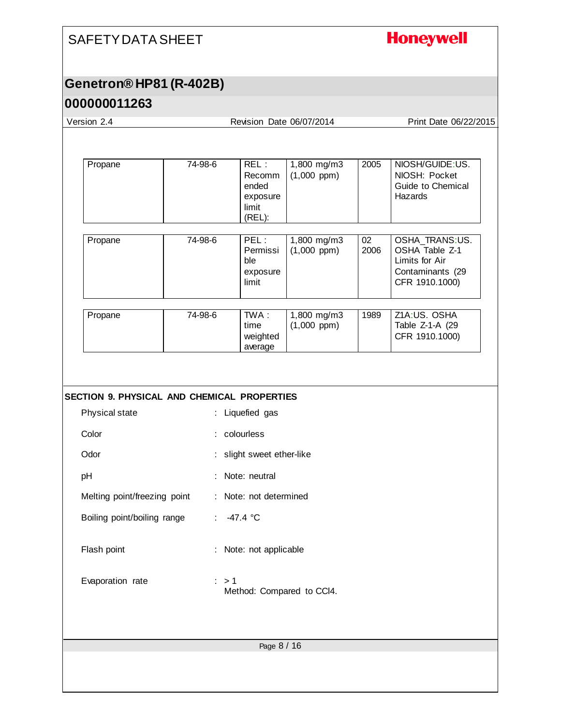# **Honeywell**

### **Genetron® HP81 (R-402B)**

#### **000000011263**

| Version 2.4                                 |                       |                                                        | Revision Date 06/07/2014        |            | Print Date 06/22/2015                                                                    |
|---------------------------------------------|-----------------------|--------------------------------------------------------|---------------------------------|------------|------------------------------------------------------------------------------------------|
|                                             |                       |                                                        |                                 |            |                                                                                          |
| Propane                                     | 74-98-6               | REL:<br>Recomm<br>ended<br>exposure<br>limit<br>(REL): | 1,800 mg/m3<br>$(1,000$ ppm)    | 2005       | NIOSH/GUIDE:US.<br>NIOSH: Pocket<br>Guide to Chemical<br>Hazards                         |
| Propane                                     | 74-98-6               | PEL:<br>Permissi<br>ble<br>exposure<br>limit           | 1,800 mg/m3<br>$(1,000$ ppm $)$ | 02<br>2006 | OSHA_TRANS:US.<br>OSHA Table Z-1<br>Limits for Air<br>Contaminants (29<br>CFR 1910.1000) |
| Propane                                     | 74-98-6               | TWA:<br>time<br>weighted<br>average                    | 1,800 mg/m3<br>$(1,000$ ppm $)$ | 1989       | Z1A:US. OSHA<br>Table Z-1-A (29<br>CFR 1910.1000)                                        |
| SECTION 9. PHYSICAL AND CHEMICAL PROPERTIES |                       |                                                        |                                 |            |                                                                                          |
| Physical state                              |                       | : Liquefied gas                                        |                                 |            |                                                                                          |
| Color                                       |                       | : colourless                                           |                                 |            |                                                                                          |
| Odor                                        | ÷.                    | slight sweet ether-like                                |                                 |            |                                                                                          |
| pH                                          |                       | Note: neutral                                          |                                 |            |                                                                                          |
| Melting point/freezing point                |                       | : Note: not determined                                 |                                 |            |                                                                                          |
| Boiling point/boiling range                 | $\mathbb{Z}^{\times}$ | $-47.4 °C$                                             |                                 |            |                                                                                          |
| Flash point                                 |                       | : Note: not applicable                                 |                                 |            |                                                                                          |
| Evaporation rate                            | $\therefore$ > 1      |                                                        | Method: Compared to CCI4.       |            |                                                                                          |
|                                             |                       | Page 8 / 16                                            |                                 |            |                                                                                          |
|                                             |                       |                                                        |                                 |            |                                                                                          |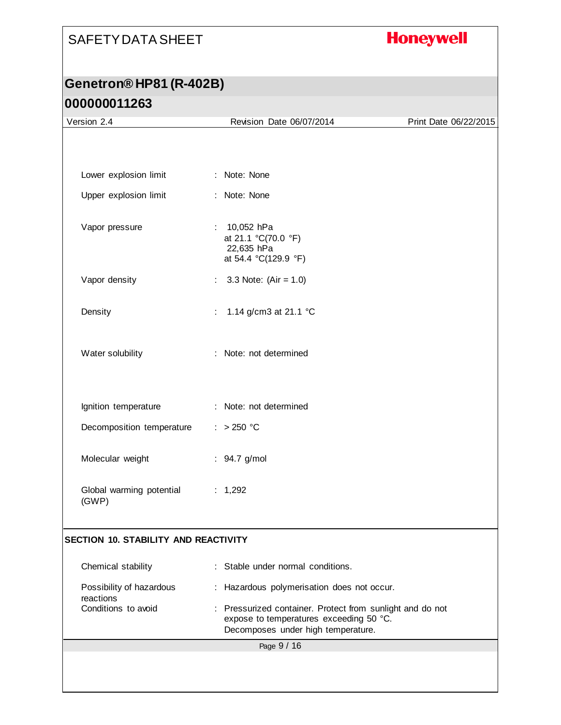# **Honeywell**

| Version 2.4                           | Revision Date 06/07/2014                                                                                                                   | Print Date 06/22/2015 |
|---------------------------------------|--------------------------------------------------------------------------------------------------------------------------------------------|-----------------------|
|                                       |                                                                                                                                            |                       |
|                                       |                                                                                                                                            |                       |
| Lower explosion limit                 | : Note: None                                                                                                                               |                       |
| Upper explosion limit                 | : Note: None                                                                                                                               |                       |
| Vapor pressure                        | : $10,052$ hPa<br>at 21.1 °C(70.0 °F)<br>22,635 hPa<br>at 54.4 °C(129.9 °F)                                                                |                       |
| Vapor density                         | 3.3 Note: $(Air = 1.0)$                                                                                                                    |                       |
| Density                               | 1.14 g/cm3 at 21.1 °C                                                                                                                      |                       |
| Water solubility                      | : Note: not determined                                                                                                                     |                       |
| Ignition temperature                  | : Note: not determined                                                                                                                     |                       |
| Decomposition temperature             | : > 250 °C                                                                                                                                 |                       |
| Molecular weight                      | : 94.7 g/mol                                                                                                                               |                       |
| Global warming potential<br>(GWP)     | : 1,292                                                                                                                                    |                       |
| SECTION 10. STABILITY AND REACTIVITY  |                                                                                                                                            |                       |
| Chemical stability                    | : Stable under normal conditions.                                                                                                          |                       |
| Possibility of hazardous<br>reactions | : Hazardous polymerisation does not occur.                                                                                                 |                       |
| Conditions to avoid                   | : Pressurized container. Protect from sunlight and do not<br>expose to temperatures exceeding 50 °C.<br>Decomposes under high temperature. |                       |
|                                       | Page 9 / 16                                                                                                                                |                       |
|                                       |                                                                                                                                            |                       |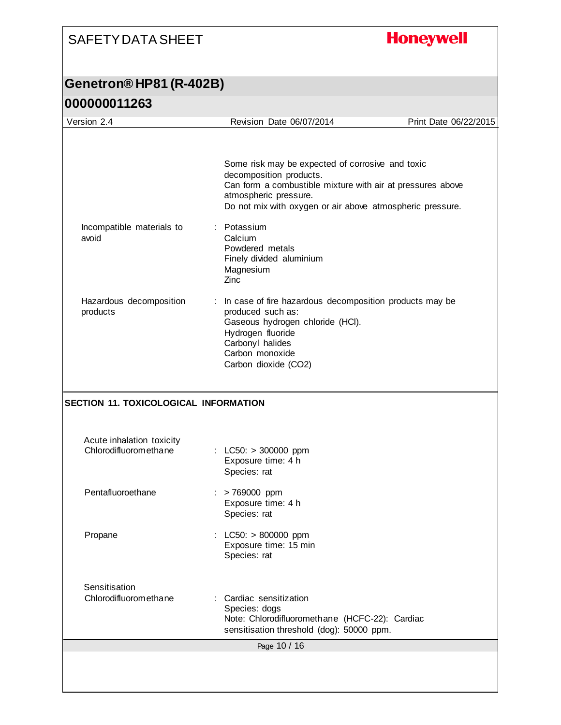# **Honeywell**

| Version 2.4                                                                                 | Revision Date 06/07/2014                                                                                                                                                                                                                       | Print Date 06/22/2015 |
|---------------------------------------------------------------------------------------------|------------------------------------------------------------------------------------------------------------------------------------------------------------------------------------------------------------------------------------------------|-----------------------|
| Incompatible materials to                                                                   | Some risk may be expected of corrosive and toxic<br>decomposition products.<br>Can form a combustible mixture with air at pressures above<br>atmospheric pressure.<br>Do not mix with oxygen or air above atmospheric pressure.<br>: Potassium |                       |
| avoid                                                                                       | Calcium<br>Powdered metals<br>Finely divided aluminium<br>Magnesium<br>Zinc                                                                                                                                                                    |                       |
| Hazardous decomposition<br>products                                                         | : In case of fire hazardous decomposition products may be<br>produced such as:<br>Gaseous hydrogen chloride (HCI).<br>Hydrogen fluoride<br>Carbonyl halides<br>Carbon monoxide<br>Carbon dioxide (CO2)                                         |                       |
| SECTION 11. TOXICOLOGICAL INFORMATION<br>Acute inhalation toxicity<br>Chlorodifluoromethane | : $LC50: > 300000$ ppm<br>Exposure time: 4 h                                                                                                                                                                                                   |                       |
| Pentafluoroethane                                                                           | Species: rat<br>> 769000 ppm<br>÷<br>Exposure time: 4 h<br>Species: rat                                                                                                                                                                        |                       |
| Propane                                                                                     | : LC50: $> 800000$ ppm<br>Exposure time: 15 min<br>Species: rat                                                                                                                                                                                |                       |
| Sensitisation<br>Chlorodifluoromethane                                                      | : Cardiac sensitization<br>Species: dogs<br>Note: Chlorodifluoromethane (HCFC-22): Cardiac<br>sensitisation threshold (dog): 50000 ppm.                                                                                                        |                       |
|                                                                                             | Page 10 / 16                                                                                                                                                                                                                                   |                       |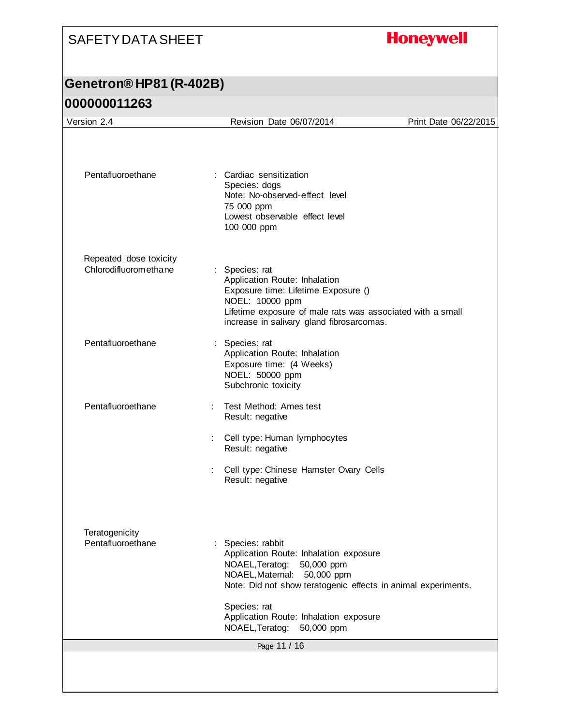# **Honeywell**

| Pentafluoroethane<br>: Cardiac sensitization<br>Species: dogs<br>Note: No-observed-effect level<br>75 000 ppm<br>Lowest observable effect level<br>100 000 ppm<br>Repeated dose toxicity<br>Chlorodifluoromethane<br>: Species: rat<br>Application Route: Inhalation<br>Exposure time: Lifetime Exposure ()<br>NOEL: 10000 ppm<br>Lifetime exposure of male rats was associated with a small<br>increase in salivary gland fibrosarcomas.<br>Pentafluoroethane<br>: Species: rat<br>Application Route: Inhalation<br>Exposure time: (4 Weeks)<br>NOEL: 50000 ppm<br>Subchronic toxicity<br>Pentafluoroethane<br>Test Method: Ames test<br>Result: negative<br>: Cell type: Human lymphocytes<br>Result: negative<br>: Cell type: Chinese Hamster Ovary Cells<br>Result: negative<br>Teratogenicity<br>Pentafluoroethane<br>Species: rabbit<br>Application Route: Inhalation exposure<br>NOAEL, Teratog:<br>50,000 ppm<br>NOAEL, Maternal:<br>50,000 ppm<br>Note: Did not show teratogenic effects in animal experiments.<br>Species: rat<br>Application Route: Inhalation exposure | Version 2.4 | Revision Date 06/07/2014      | Print Date 06/22/2015 |
|------------------------------------------------------------------------------------------------------------------------------------------------------------------------------------------------------------------------------------------------------------------------------------------------------------------------------------------------------------------------------------------------------------------------------------------------------------------------------------------------------------------------------------------------------------------------------------------------------------------------------------------------------------------------------------------------------------------------------------------------------------------------------------------------------------------------------------------------------------------------------------------------------------------------------------------------------------------------------------------------------------------------------------------------------------------------------------|-------------|-------------------------------|-----------------------|
|                                                                                                                                                                                                                                                                                                                                                                                                                                                                                                                                                                                                                                                                                                                                                                                                                                                                                                                                                                                                                                                                                    |             |                               |                       |
|                                                                                                                                                                                                                                                                                                                                                                                                                                                                                                                                                                                                                                                                                                                                                                                                                                                                                                                                                                                                                                                                                    |             |                               |                       |
|                                                                                                                                                                                                                                                                                                                                                                                                                                                                                                                                                                                                                                                                                                                                                                                                                                                                                                                                                                                                                                                                                    |             |                               |                       |
|                                                                                                                                                                                                                                                                                                                                                                                                                                                                                                                                                                                                                                                                                                                                                                                                                                                                                                                                                                                                                                                                                    |             |                               |                       |
|                                                                                                                                                                                                                                                                                                                                                                                                                                                                                                                                                                                                                                                                                                                                                                                                                                                                                                                                                                                                                                                                                    |             |                               |                       |
|                                                                                                                                                                                                                                                                                                                                                                                                                                                                                                                                                                                                                                                                                                                                                                                                                                                                                                                                                                                                                                                                                    |             |                               |                       |
|                                                                                                                                                                                                                                                                                                                                                                                                                                                                                                                                                                                                                                                                                                                                                                                                                                                                                                                                                                                                                                                                                    |             |                               |                       |
|                                                                                                                                                                                                                                                                                                                                                                                                                                                                                                                                                                                                                                                                                                                                                                                                                                                                                                                                                                                                                                                                                    |             |                               |                       |
|                                                                                                                                                                                                                                                                                                                                                                                                                                                                                                                                                                                                                                                                                                                                                                                                                                                                                                                                                                                                                                                                                    |             |                               |                       |
|                                                                                                                                                                                                                                                                                                                                                                                                                                                                                                                                                                                                                                                                                                                                                                                                                                                                                                                                                                                                                                                                                    |             | NOAEL, Teratog:<br>50,000 ppm |                       |
| Page 11 / 16                                                                                                                                                                                                                                                                                                                                                                                                                                                                                                                                                                                                                                                                                                                                                                                                                                                                                                                                                                                                                                                                       |             |                               |                       |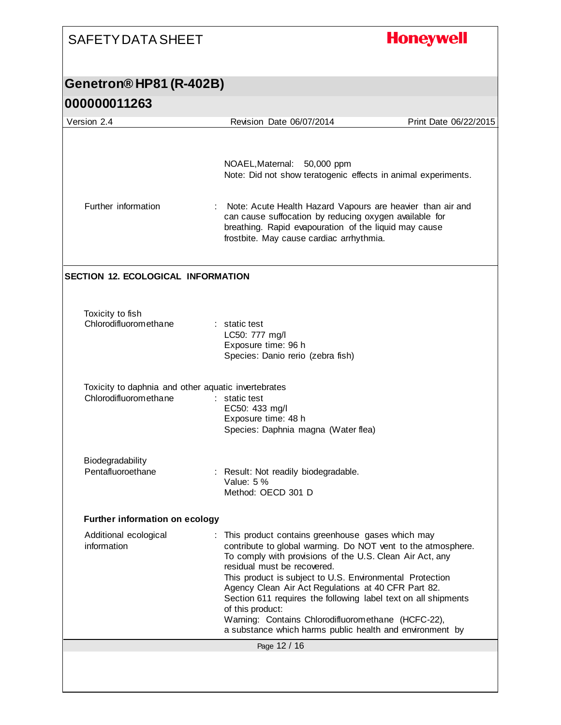# **Honeywell**

| 000000011263                                                                 |                                                                                                                                                                                                                                                                                                                                                                                                                                                                                                                                        |                       |
|------------------------------------------------------------------------------|----------------------------------------------------------------------------------------------------------------------------------------------------------------------------------------------------------------------------------------------------------------------------------------------------------------------------------------------------------------------------------------------------------------------------------------------------------------------------------------------------------------------------------------|-----------------------|
| Version 2.4                                                                  | Revision Date 06/07/2014                                                                                                                                                                                                                                                                                                                                                                                                                                                                                                               | Print Date 06/22/2015 |
| Further information                                                          | NOAEL, Maternal: 50,000 ppm<br>Note: Did not show teratogenic effects in animal experiments.<br>Note: Acute Health Hazard Vapours are heavier than air and<br>can cause suffocation by reducing oxygen available for<br>breathing. Rapid evapouration of the liquid may cause<br>frostbite. May cause cardiac arrhythmia.                                                                                                                                                                                                              |                       |
| <b>SECTION 12. ECOLOGICAL INFORMATION</b>                                    |                                                                                                                                                                                                                                                                                                                                                                                                                                                                                                                                        |                       |
| Toxicity to fish<br>Chlorodifluoromethane                                    | : static test<br>LC50: 777 mg/l<br>Exposure time: 96 h<br>Species: Danio rerio (zebra fish)                                                                                                                                                                                                                                                                                                                                                                                                                                            |                       |
| Toxicity to daphnia and other aquatic invertebrates<br>Chlorodifluoromethane | : static test<br>EC50: 433 mg/l<br>Exposure time: 48 h<br>Species: Daphnia magna (Water flea)                                                                                                                                                                                                                                                                                                                                                                                                                                          |                       |
| Biodegradability<br>Pentafluoroethane                                        | : Result: Not readily biodegradable.<br>Value: 5 %<br>Method: OECD 301 D                                                                                                                                                                                                                                                                                                                                                                                                                                                               |                       |
| <b>Further information on ecology</b>                                        |                                                                                                                                                                                                                                                                                                                                                                                                                                                                                                                                        |                       |
| Additional ecological<br>information                                         | This product contains greenhouse gases which may<br>contribute to global warming. Do NOT vent to the atmosphere.<br>To comply with provisions of the U.S. Clean Air Act, any<br>residual must be recovered.<br>This product is subject to U.S. Environmental Protection<br>Agency Clean Air Act Regulations at 40 CFR Part 82.<br>Section 611 requires the following label text on all shipments<br>of this product:<br>Warning: Contains Chlorodifluoromethane (HCFC-22),<br>a substance which harms public health and environment by |                       |
|                                                                              | Page 12 / 16                                                                                                                                                                                                                                                                                                                                                                                                                                                                                                                           |                       |
|                                                                              |                                                                                                                                                                                                                                                                                                                                                                                                                                                                                                                                        |                       |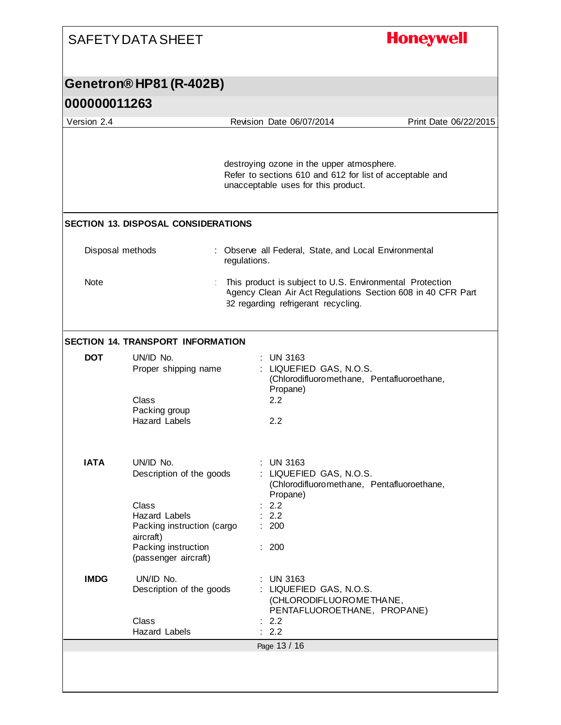| Genetron® HP81 (R-402B)<br>000000011263<br>Version 2.4<br><b>SECTION 13. DISPOSAL CONSIDERATIONS</b><br>Disposal methods<br><b>Note</b><br><b>SECTION 14. TRANSPORT INFORMATION</b><br>UN/ID No.<br><b>DOT</b><br><b>Class</b><br><b>IATA</b><br>UN/ID No. |                                                                           | Revision Date 06/07/2014<br>Print Date 06/22/2015<br>destroying ozone in the upper atmosphere.<br>Refer to sections 610 and 612 for list of acceptable and<br>unacceptable uses for this product. |
|------------------------------------------------------------------------------------------------------------------------------------------------------------------------------------------------------------------------------------------------------------|---------------------------------------------------------------------------|---------------------------------------------------------------------------------------------------------------------------------------------------------------------------------------------------|
|                                                                                                                                                                                                                                                            |                                                                           |                                                                                                                                                                                                   |
|                                                                                                                                                                                                                                                            |                                                                           |                                                                                                                                                                                                   |
|                                                                                                                                                                                                                                                            |                                                                           |                                                                                                                                                                                                   |
|                                                                                                                                                                                                                                                            |                                                                           |                                                                                                                                                                                                   |
|                                                                                                                                                                                                                                                            |                                                                           |                                                                                                                                                                                                   |
|                                                                                                                                                                                                                                                            | regulations.                                                              | : Observe all Federal, State, and Local Environmental                                                                                                                                             |
|                                                                                                                                                                                                                                                            |                                                                           | This product is subject to U.S. Environmental Protection<br>Agency Clean Air Act Regulations Section 608 in 40 CFR Part<br>82 regarding refrigerant recycling.                                    |
|                                                                                                                                                                                                                                                            |                                                                           |                                                                                                                                                                                                   |
|                                                                                                                                                                                                                                                            | Proper shipping name<br>Packing group<br><b>Hazard Labels</b>             | $:$ UN 3163<br>: LIQUEFIED GAS, N.O.S.<br>(Chlorodifluoromethane, Pentafluoroethane,<br>Propane)<br>2.2<br>2.2                                                                                    |
| Class                                                                                                                                                                                                                                                      | Description of the goods<br><b>Hazard Labels</b>                          | <b>UN 3163</b><br>: LIQUEFIED GAS, N.O.S.<br>(Chlorodifluoromethane, Pentafluoroethane,<br>Propane)<br>2.2<br>2.2                                                                                 |
| aircraft)                                                                                                                                                                                                                                                  | Packing instruction (cargo<br>Packing instruction<br>(passenger aircraft) | : 200<br>: 200                                                                                                                                                                                    |
| <b>IMDG</b><br>UN/ID No.                                                                                                                                                                                                                                   | Description of the goods                                                  | <b>UN 3163</b><br>: LIQUEFIED GAS, N.O.S.<br>(CHLORODIFLUOROME THANE,<br>PENTAFLUOROETHANE, PROPANE)                                                                                              |
| Class                                                                                                                                                                                                                                                      | <b>Hazard Labels</b>                                                      | : 2.2<br>2.2                                                                                                                                                                                      |
|                                                                                                                                                                                                                                                            |                                                                           | Page 13 / 16                                                                                                                                                                                      |

I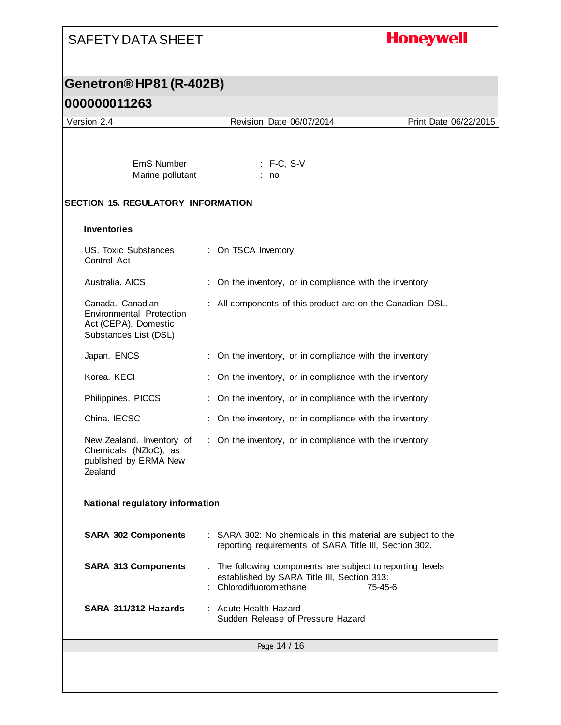### **Honeywell** SAFETY DATA SHEET **Genetron® HP81 (R-402B) 000000011263** Version 2.4 Revision Date 06/07/2014 Print Date 06/22/2015 EmS Number : F-C, S-V Marine pollutant : no **SECTION 15. REGULATORY INFORMATION Inventories** US. Toxic Substances : On TSCA Inventory Control Act Australia. AICS : On the inventory, or in compliance with the inventory Canada. Canadian : All components of this product are on the Canadian DSL. Environmental Protection Act (CEPA). Domestic Substances List (DSL) Japan. ENCS : On the inventory, or in compliance with the inventory Korea. KECI : On the inventory, or in compliance with the inventory Philippines. PICCS : On the inventory, or in compliance with the inventory China. IECSC : On the inventory, or in compliance with the inventory New Zealand. Inventory of : On the inventory, or in compliance with the inventory Chemicals (NZIoC), as published by ERMA New Zealand **National regulatory information SARA 302 Components** : SARA 302: No chemicals in this material are subject to the reporting requirements of SARA Title III, Section 302. **SARA 313 Components** : The following components are subject to reporting levels established by SARA Title III, Section 313: : Chlorodifluoromethane 75-45-6 **SARA 311/312 Hazards** : Acute Health Hazard Sudden Release of Pressure HazardPage 14 / 16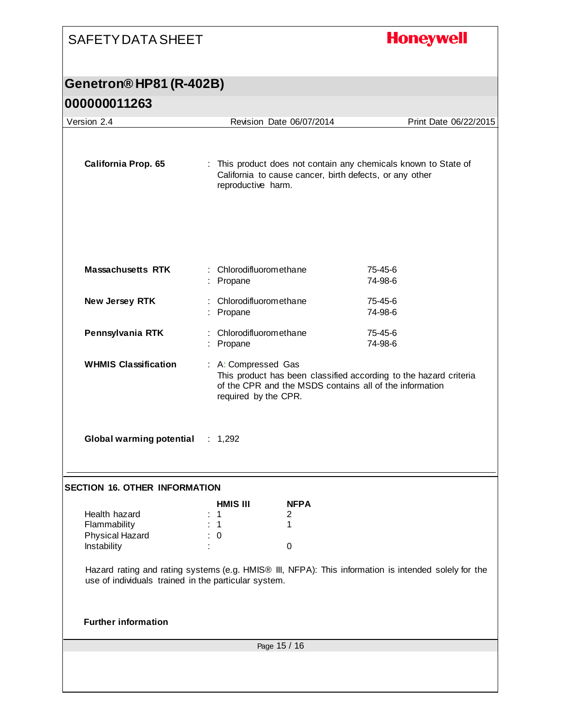# **Honeywell**

| 000000011263                                                    |                                                                                                                                                                             |                            |                                                                                                      |
|-----------------------------------------------------------------|-----------------------------------------------------------------------------------------------------------------------------------------------------------------------------|----------------------------|------------------------------------------------------------------------------------------------------|
| Version 2.4                                                     |                                                                                                                                                                             | Revision Date 06/07/2014   | Print Date 06/22/2015                                                                                |
| <b>California Prop. 65</b>                                      | : This product does not contain any chemicals known to State of<br>California to cause cancer, birth defects, or any other<br>reproductive harm.                            |                            |                                                                                                      |
| <b>Massachusetts RTK</b>                                        | : Chlorodifluoromethane<br>: Propane                                                                                                                                        |                            | 75-45-6<br>74-98-6                                                                                   |
| New Jersey RTK                                                  | : Chlorodifluoromethane<br>: Propane                                                                                                                                        |                            | 75-45-6<br>74-98-6                                                                                   |
| Pennsylvania RTK                                                | Chlorodifluoromethane<br>: Propane                                                                                                                                          |                            | 75-45-6<br>74-98-6                                                                                   |
| <b>WHMIS Classification</b>                                     | : A: Compressed Gas<br>This product has been classified according to the hazard criteria<br>of the CPR and the MSDS contains all of the information<br>required by the CPR. |                            |                                                                                                      |
| <b>Global warming potential</b>                                 | : 1,292                                                                                                                                                                     |                            |                                                                                                      |
| <b>SECTION 16. OTHER INFORMATION</b>                            |                                                                                                                                                                             |                            |                                                                                                      |
| Health hazard<br>Flammability<br>Physical Hazard<br>Instability | <b>HMIS III</b><br>$\mathbf 1$<br>$\mathbf 1$<br>$\boldsymbol{0}$                                                                                                           | <b>NFPA</b><br>2<br>1<br>0 |                                                                                                      |
| use of individuals trained in the particular system.            |                                                                                                                                                                             |                            | Hazard rating and rating systems (e.g. HMIS® III, NFPA): This information is intended solely for the |
| <b>Further information</b>                                      |                                                                                                                                                                             |                            |                                                                                                      |
| Page 15 / 16                                                    |                                                                                                                                                                             |                            |                                                                                                      |
|                                                                 |                                                                                                                                                                             |                            |                                                                                                      |
|                                                                 |                                                                                                                                                                             |                            |                                                                                                      |